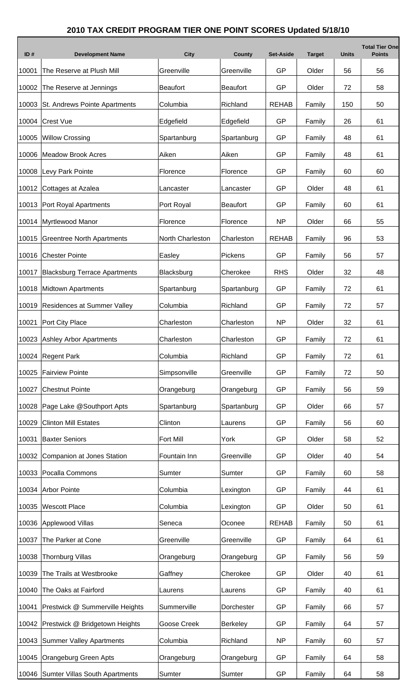## **2010 TAX CREDIT PROGRAM TIER ONE POINT SCORES Updated 5/18/10**

| ID#   | <b>Development Name</b>              | <b>City</b>      | County          | <b>Set-Aside</b> | <b>Target</b> | <b>Units</b> | <b>Total Tier One</b><br><b>Points</b> |
|-------|--------------------------------------|------------------|-----------------|------------------|---------------|--------------|----------------------------------------|
| 10001 | The Reserve at Plush Mill            | Greenville       | Greenville      | GP               | Older         | 56           | 56                                     |
| 10002 | The Reserve at Jennings              | <b>Beaufort</b>  | <b>Beaufort</b> | GP               | Older         | 72           | 58                                     |
| 10003 | St. Andrews Pointe Apartments        | Columbia         | Richland        | <b>REHAB</b>     | Family        | 150          | 50                                     |
| 10004 | <b>Crest Vue</b>                     | Edgefield        | Edgefield       | GP               | Family        | 26           | 61                                     |
| 10005 | <b>Willow Crossing</b>               | Spartanburg      | Spartanburg     | GP               | Family        | 48           | 61                                     |
| 10006 | <b>Meadow Brook Acres</b>            | Aiken            | Aiken           | GP               | Family        | 48           | 61                                     |
| 10008 | Levy Park Pointe                     | Florence         | Florence        | GP               | Family        | 60           | 60                                     |
| 10012 | Cottages at Azalea                   | Lancaster        | Lancaster       | GP               | Older         | 48           | 61                                     |
| 10013 | Port Royal Apartments                | Port Royal       | <b>Beaufort</b> | GP               | Family        | 60           | 61                                     |
| 10014 | Myrtlewood Manor                     | Florence         | Florence        | <b>NP</b>        | Older         | 66           | 55                                     |
| 10015 | <b>Greentree North Apartments</b>    | North Charleston | Charleston      | <b>REHAB</b>     | Family        | 96           | 53                                     |
| 10016 | <b>Chester Pointe</b>                | Easley           | Pickens         | GP               | Family        | 56           | 57                                     |
| 10017 | <b>Blacksburg Terrace Apartments</b> | Blacksburg       | Cherokee        | <b>RHS</b>       | Older         | 32           | 48                                     |
| 10018 | <b>Midtown Apartments</b>            | Spartanburg      | Spartanburg     | GP               | Family        | 72           | 61                                     |
| 10019 | <b>Residences at Summer Valley</b>   | Columbia         | Richland        | GP               | Family        | 72           | 57                                     |
| 10021 | Port City Place                      | Charleston       | Charleston      | <b>NP</b>        | Older         | 32           | 61                                     |
| 10023 | <b>Ashley Arbor Apartments</b>       | Charleston       | Charleston      | GP               | Family        | 72           | 61                                     |
| 10024 | Regent Park                          | Columbia         | Richland        | GP               | Family        | 72           | 61                                     |
| 10025 | <b>Fairview Pointe</b>               | Simpsonville     | Greenville      | GP               | Family        | 72           | 50                                     |
| 10027 | <b>Chestnut Pointe</b>               | Orangeburg       | Orangeburg      | GP               | Family        | 56           | 59                                     |
| 10028 | Page Lake @Southport Apts            | Spartanburg      | Spartanburg     | GP               | Older         | 66           | 57                                     |
| 10029 | <b>Clinton Mill Estates</b>          | Clinton          | Laurens         | GP               | Family        | 56           | 60                                     |
| 10031 | <b>Baxter Seniors</b>                | <b>Fort Mill</b> | York            | GP               | Older         | 58           | 52                                     |
| 10032 | Companion at Jones Station           | Fountain Inn     | Greenville      | GP               | Older         | 40           | 54                                     |
| 10033 | Pocalla Commons                      | Sumter           | Sumter          | GP               | Family        | 60           | 58                                     |
| 10034 | <b>Arbor Pointe</b>                  | Columbia         | Lexington       | GP               | Family        | 44           | 61                                     |
| 10035 | <b>Wescott Place</b>                 | Columbia         | Lexington       | GP               | Older         | 50           | 61                                     |
| 10036 | Applewood Villas                     | Seneca           | Oconee          | <b>REHAB</b>     | Family        | 50           | 61                                     |
| 10037 | The Parker at Cone                   | Greenville       | Greenville      | GP               | Family        | 64           | 61                                     |
| 10038 | <b>Thornburg Villas</b>              | Orangeburg       | Orangeburg      | GP               | Family        | 56           | 59                                     |
| 10039 | The Trails at Westbrooke             | Gaffney          | Cherokee        | GP               | Older         | 40           | 61                                     |
| 10040 | The Oaks at Fairford                 | Laurens          | Laurens         | GP               | Family        | 40           | 61                                     |
| 10041 | Prestwick @ Summerville Heights      | Summerville      | Dorchester      | GP               | Family        | 66           | 57                                     |
| 10042 | Prestwick @ Bridgetown Heights       | Goose Creek      | <b>Berkeley</b> | GP               | Family        | 64           | 57                                     |
| 10043 | <b>Summer Valley Apartments</b>      | Columbia         | Richland        | <b>NP</b>        | Family        | 60           | 57                                     |
| 10045 | Orangeburg Green Apts                | Orangeburg       | Orangeburg      | GP               | Family        | 64           | 58                                     |
|       | 10046 Sumter Villas South Apartments | Sumter           | Sumter          | GP               | Family        | 64           | 58                                     |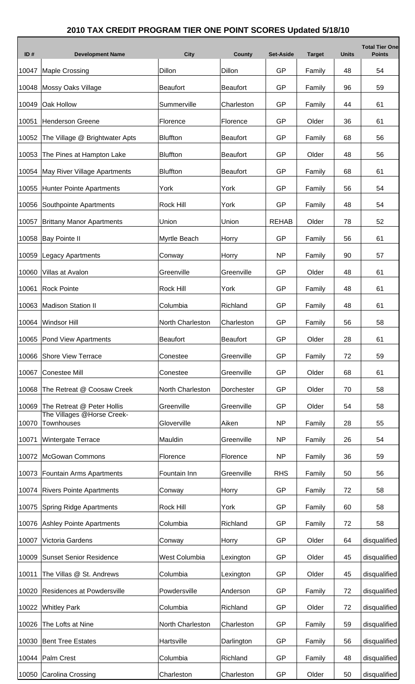## **2010 TAX CREDIT PROGRAM TIER ONE POINT SCORES Updated 5/18/10**

Г

| ID#   | <b>Development Name</b>                         | <b>City</b>      | <b>County</b>   | <b>Set-Aside</b> | <b>Target</b> | <b>Units</b> | <b>Total Tier One</b><br><b>Points</b> |
|-------|-------------------------------------------------|------------------|-----------------|------------------|---------------|--------------|----------------------------------------|
| 10047 | <b>Maple Crossing</b>                           | Dillon           | Dillon          | GP               | Family        | 48           | 54                                     |
| 10048 | Mossy Oaks Village                              | <b>Beaufort</b>  | <b>Beaufort</b> | GP               | Family        | 96           | 59                                     |
| 10049 | Oak Hollow                                      | Summerville      | Charleston      | GP               | Family        | 44           | 61                                     |
| 10051 | <b>Henderson Greene</b>                         | Florence         | Florence        | GP               | Older         | 36           | 61                                     |
| 10052 | The Village @ Brightwater Apts                  | <b>Bluffton</b>  | <b>Beaufort</b> | GP               | Family        | 68           | 56                                     |
| 10053 | The Pines at Hampton Lake                       | <b>Bluffton</b>  | <b>Beaufort</b> | GP               | Older         | 48           | 56                                     |
| 10054 | May River Village Apartments                    | <b>Bluffton</b>  | <b>Beaufort</b> | GP               | Family        | 68           | 61                                     |
| 10055 | <b>Hunter Pointe Apartments</b>                 | York             | York            | GP               | Family        | 56           | 54                                     |
| 10056 | Southpointe Apartments                          | Rock Hill        | York            | GP               | Family        | 48           | 54                                     |
| 10057 | <b>Brittany Manor Apartments</b>                | Union            | Union           | <b>REHAB</b>     | Older         | 78           | 52                                     |
| 10058 | <b>Bay Pointe II</b>                            | Myrtle Beach     | Horry           | GP               | Family        | 56           | 61                                     |
| 10059 | <b>Legacy Apartments</b>                        | Conway           | Horry           | <b>NP</b>        | Family        | 90           | 57                                     |
| 10060 | Villas at Avalon                                | Greenville       | Greenville      | GP               | Older         | 48           | 61                                     |
| 10061 | <b>Rock Pointe</b>                              | Rock Hill        | York            | GP               | Family        | 48           | 61                                     |
| 10063 | <b>Madison Station II</b>                       | Columbia         | Richland        | GP               | Family        | 48           | 61                                     |
| 10064 | <b>Windsor Hill</b>                             | North Charleston | Charleston      | GP               | Family        | 56           | 58                                     |
|       | 10065 Pond View Apartments                      | Beaufort         | <b>Beaufort</b> | GP               | Older         | 28           | 61                                     |
| 10066 | <b>Shore View Terrace</b>                       | Conestee         | Greenville      | GP               | Family        | 72           | 59                                     |
| 10067 | <b>Conestee Mill</b>                            | Conestee         | Greenville      | GP               | Older         | 68           | 61                                     |
| 10068 | The Retreat @ Coosaw Creek                      | North Charleston | Dorchester      | GP               | Older         | 70           | 58                                     |
| 10069 | The Retreat @ Peter Hollis                      | Greenville       | Greenville      | GP               | Older         | 54           | 58                                     |
| 10070 | The Villages @Horse Creek-<br><b>Townhouses</b> | Gloverville      | Aiken           | <b>NP</b>        | Family        | 28           | 55                                     |
| 10071 | Wintergate Terrace                              | Mauldin          | Greenville      | <b>NP</b>        | Family        | 26           | 54                                     |
| 10072 | <b>McGowan Commons</b>                          | Florence         | Florence        | <b>NP</b>        | Family        | 36           | 59                                     |
| 10073 | Fountain Arms Apartments                        | Fountain Inn     | Greenville      | <b>RHS</b>       | Family        | 50           | 56                                     |
| 10074 | <b>Rivers Pointe Apartments</b>                 | Conway           | Horry           | GP               | Family        | 72           | 58                                     |
| 10075 | <b>Spring Ridge Apartments</b>                  | Rock Hill        | York            | GP               | Family        | 60           | 58                                     |
| 10076 | <b>Ashley Pointe Apartments</b>                 | Columbia         | Richland        | GP               | Family        | 72           | 58                                     |
| 10007 | Victoria Gardens                                | Conway           | Horry           | GP               | Older         | 64           | disqualified                           |
| 10009 | <b>Sunset Senior Residence</b>                  | West Columbia    | Lexington       | GP               | Older         | 45           | disqualified                           |
| 10011 | The Villas @ St. Andrews                        | Columbia         | Lexington       | GP               | Older         | 45           | disqualified                           |
| 10020 | Residences at Powdersville                      | Powdersville     | Anderson        | GP               | Family        | 72           | disqualified                           |
|       | 10022 Whitley Park                              | Columbia         | Richland        | GP               | Older         | 72           | disqualified                           |
| 10026 | The Lofts at Nine                               | North Charleston | Charleston      | GP               | Family        | 59           | disqualified                           |
|       | 10030 Bent Tree Estates                         | Hartsville       | Darlington      | GP               | Family        | 56           | disqualified                           |
| 10044 | Palm Crest                                      | Columbia         | Richland        | GP               | Family        | 48           | disqualified                           |
| 10050 | Carolina Crossing                               | Charleston       | Charleston      | GP               | Older         | 50           | disqualified                           |